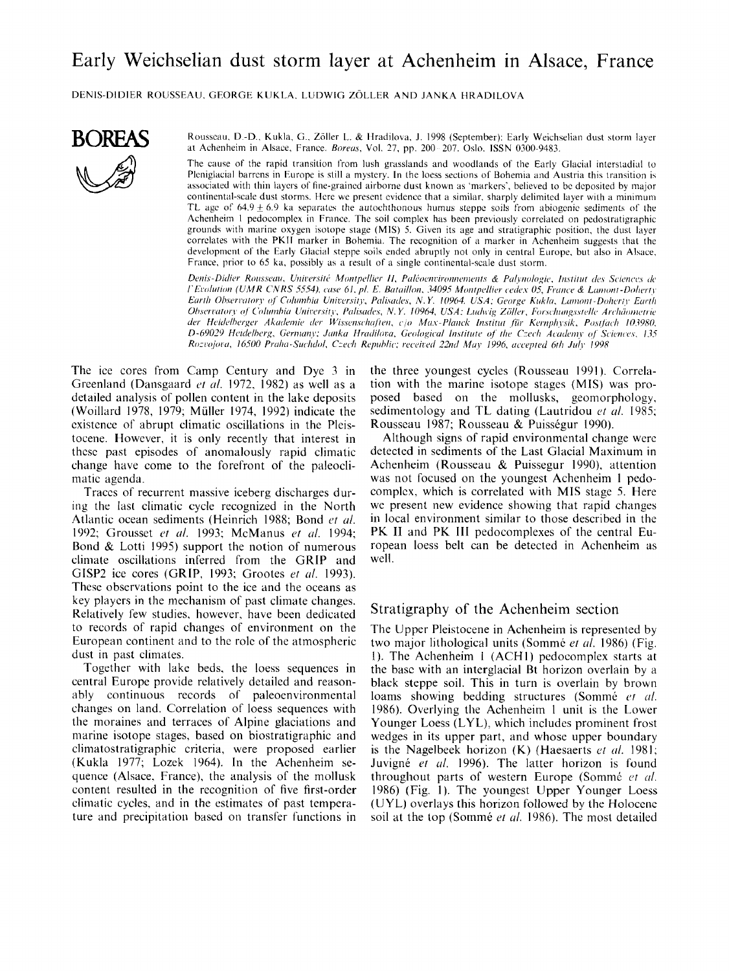# Early Weichselian dust storm layer at Achenheim in Alsace, France

DENIS-DIDIER ROUSSEAU, GEORGE KUKLA, LUDWIG ZÖLLER AND JANKA HRADILOVA



Rousseau, D.-D., Kukla, G., Zöller L. & Hradilova, J. 1998 (September): Early Weichselian dust storm layer at Achenheim in Alsace, France. Boreas, Vol. 27, pp. 200-207. Oslo. ISSN 0300-9483.

The cause of the rapid transition from lush grasslands and woodlands of the Early Glacial interstadial to Pleniglacial barrens in Europe is still a mystery. In the loess sections of Bohemia and Austria this transition is associated with thin layers of fine-grained airborne dust known as 'markers', believed to be deposited by major continental-scale dust storms. Here we present evidence that a similar, sharply delimited layer with a minimum TL age of  $64.9 \pm 6.9$  ka separates the autochthonous humus steppe soils from abiogenic sediments of the Achenheim 1 pedocomplex in France. The soil complex has been previously correlated on pedostratigraphic grounds with marine oxygen isotope stage (MIS) 5. Given its age and stratigraphic position, the dust layer correlates with the PKII marker in Bohemia. The recognition of a marker in Achenheim suggests that the development of the Early Glacial steppe soils ended abruptly not only in central Europe, but also in Alsace, France, prior to 65 ka, possibly as a result of a single continental-scale dust storm.

Denis-Didier Rousseau, Université Montpellier II, Paléoenvironnements & Palynologie, Institut des Sciences de l'Evolution (UMR CNRS 5554), case 61, pl. E. Bataillon, 34095 Montpellier cedex 05, France & Lamont-Doherty Earth Observatory of Columbia University, Palisades, N.Y. 10964. USA; George Kukla, Lamont-Doherty Earth Observatory of Columbia University, Palisades, N.Y. 10964, USA; Ludwig Zöller, Forschungsstelle Archäometrie der Heidelberger Akademie der Wissenschaften, c/o Max-Planck Institut für Kernphysik, Postfach 103980, D-69029 Heidelberg, Germany; Janka Hradilova, Geological Institute of the Czech Academy of Sciences, 135 Rozvojova, 16500 Praha-Suchdol, Czech Republic; received 22nd May 1996, accepted 6th July 1998

The ice cores from Camp Century and Dye 3 in Greenland (Dansgaard et al. 1972, 1982) as well as a detailed analysis of pollen content in the lake deposits (Woillard 1978, 1979; Müller 1974, 1992) indicate the existence of abrupt climatic oscillations in the Pleistocene. However, it is only recently that interest in these past episodes of anomalously rapid climatic change have come to the forefront of the paleoclimatic agenda.

Traces of recurrent massive iceberg discharges during the last climatic cycle recognized in the North Atlantic ocean sediments (Heinrich 1988; Bond et al. 1992; Grousset et al. 1993; McManus et al. 1994; Bond  $\&$  Lotti 1995) support the notion of numerous climate oscillations inferred from the GRIP and GISP2 ice cores (GRIP, 1993; Grootes et al. 1993). These observations point to the ice and the oceans as key players in the mechanism of past climate changes. Relatively few studies, however, have been dedicated to records of rapid changes of environment on the European continent and to the role of the atmospheric dust in past climates.

Together with lake beds, the loess sequences in central Europe provide relatively detailed and reasonably continuous records of paleoenvironmental changes on land. Correlation of loess sequences with the moraines and terraces of Alpine glaciations and marine isotope stages, based on biostratigraphic and climatostratigraphic criteria, were proposed earlier (Kukla 1977; Lozek 1964). In the Achenheim sequence (Alsace, France), the analysis of the mollusk content resulted in the recognition of five first-order climatic cycles, and in the estimates of past temperature and precipitation based on transfer functions in the three youngest cycles (Rousseau 1991). Correlation with the marine isotope stages (MIS) was proposed based on the mollusks, geomorphology, sedimentology and TL dating (Lautridou *et al.* 1985; Rousseau 1987; Rousseau & Puisségur 1990).

Although signs of rapid environmental change were detected in sediments of the Last Glacial Maximum in Achenheim (Rousseau & Puissegur 1990), attention was not focused on the youngest Achenheim 1 pedocomplex, which is correlated with MIS stage 5. Here we present new evidence showing that rapid changes in local environment similar to those described in the PK II and PK III pedocomplexes of the central European loess belt can be detected in Achenheim as well.

#### Stratigraphy of the Achenheim section

The Upper Pleistocene in Achenheim is represented by two major lithological units (Sommé et al. 1986) (Fig. 1). The Achenheim 1 (ACH1) pedocomplex starts at the base with an interglacial Bt horizon overlain by a black steppe soil. This in turn is overlain by brown loams showing bedding structures (Sommé et al. 1986). Overlying the Achenheim 1 unit is the Lower Younger Loess (LYL), which includes prominent frost wedges in its upper part, and whose upper boundary is the Nagelbeek horizon  $(K)$  (Haesaerts et al. 1981; Juvigné et al. 1996). The latter horizon is found throughout parts of western Europe (Sommé et al. 1986) (Fig. 1). The youngest Upper Younger Loess (UYL) overlays this horizon followed by the Holocene soil at the top (Sommé et al. 1986). The most detailed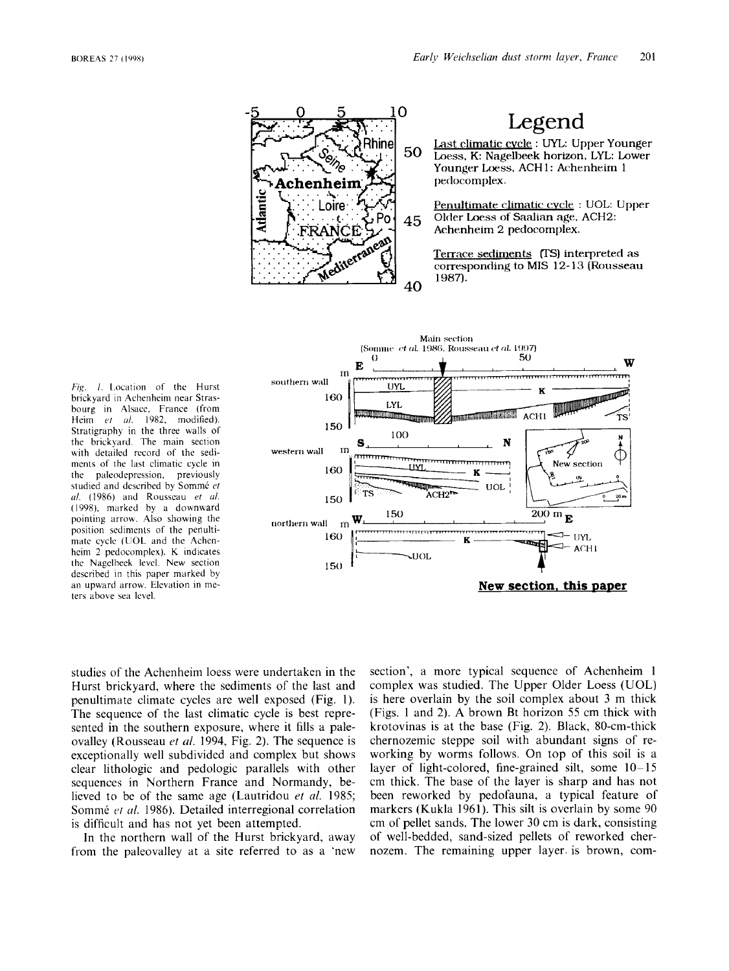

Legend

Last climatic cvcle : UYL: Upper Younger Loess. K: Nagelbeek horizon, LYL: Lower Younger Loess, ACH1: Achenheim 1 pedocomplex.

Penultimate climatic: **cvck** : UOL: Upper Older Loess **of Saalian** age, ACH2: Achenheim 2 peclocomplex.

Terrace sediments *(TS)* interpreted as corresponding to MIS **12-** 13 (Ro~isseau 1987).



Fig. 1. Location of the Hurst brickyard in Achenheim near Strasbourg in Alsacc, France (from Heim *et al.* 1982, modified). Stratigraphy in the three walls of the brickyard. The main section with detailed record of the sedimcnts of the last climatic cycle in the paleodepression, previously studied and described by Somme *ef ril.* (1986) and Rousseau *et ul.*  (1998), marked by a downward pointing arrow. Also showing the position sediments of the penultimate cycle (UOL and the Achenhcim 2 pedocomplex). K indicates the Nagelbeck level. New section described in this paper marked by an upward arrow. Elevation in meters above sea level.

studies of the Achenheim loess were undertaken in the Hurst brickyard, where the sediments of the last and penultimate climate cycles are well exposed (Fig. I). The sequence of the last climatic cycle is best represented in the southern exposure, where it fills a paleovalley (Rousseau *et d.* 1994, Fig. 2). The sequence is exceptionally well subdivided and complex but shows clear lithologic and pedologic parallels with other sequences in Northern France and Normandy, believed to be of the same age (Lautridou *et al.* 1985; Sommé et al. 1986). Detailed interregional correlation is difficult and has not yet been attempted.

In the northern wall of the Hurst brickyard, away from the paleovalley at a site referred to as a 'new section', a more typical sequence of Achenheim 1 complex was studied, The Upper Older Loess (UOL) is here overlain by the soil complex about 3 m thick (Figs. 1 and 2). **A** brown Bt horizon *55* cm thick with krotovinas is at the base (Fig. 2). Black, 80-cm-thick chernozemic steppe soil with abundant signs of reworking by worms follows. On top of this soil is a layer of light-colored, fine-grained silt, some  $10-15$ cm thick. The base of the layer is sharp and has not been reworked by pedofauna, a typical feature of markers (Kukla 1961). This silt is overlain by some 90 cm of pellet sands. The lower 30 cm is dark, consisting of well-bedded, sand-sized pellets of reworked chernozem. The remaining upper layer. is brown, com-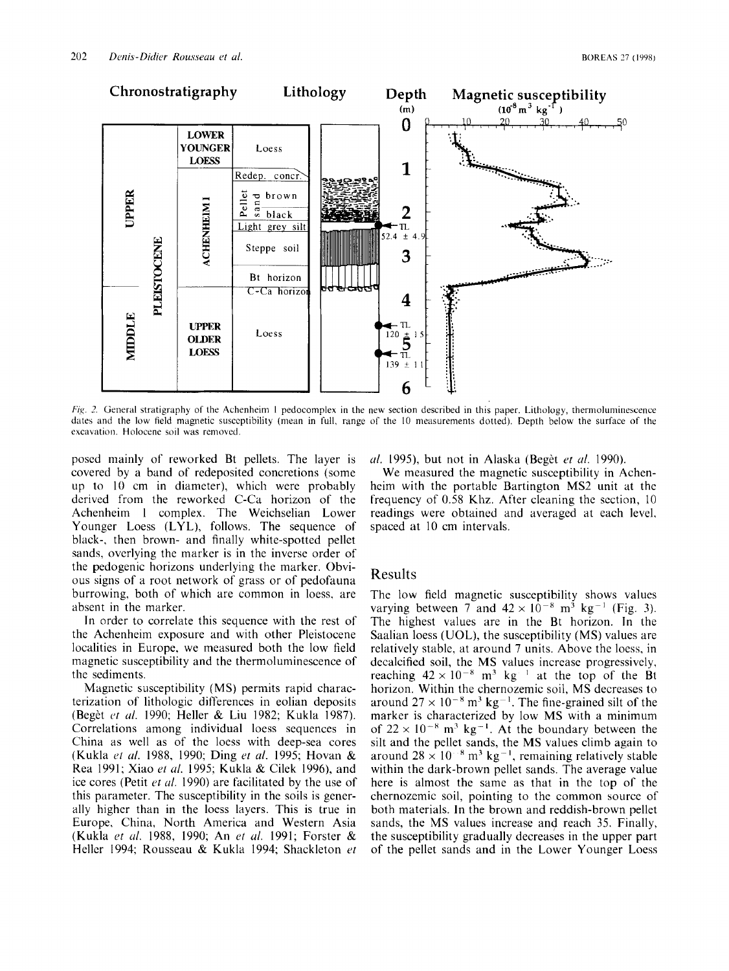

*Fig. 2.* General stratigraphy of the Achenheim 1 pedocomplex in the new section described in this paper. Lithology, thermoluminescence dates and the low field magnetic susceptibility (mean in full, range of the 10 measurements dotted). Depth below the surface of the excavation. Holocene soil was removed

posed mainly of reworked Bt pellets. The layer is covered by a band of redeposited concretions (some up to 10 cm in diameter), which were probably derived from the reworked C-Ca horizon of the Achenheim **1** complex. The Weichselian Lower Younger Loess (LYL), follows. The sequence of black-, then brown- and finally white-spotted pellet sands, overlying the marker is in the inverse order of the pedogenic horizons underlying the marker. Obvious signs of a root network of grass or of pedofauna burrowing, both of which are common in loess, are absent in the marker.

In order to correlate this sequence with the rest of the Achenheim exposure and with other Pleistocene localities in Europe, we measured both the low field magnetic susceptibility and the thermoluminescence of the sediments.

Magnetic susceptibility **(MS)** permits rapid characterization of lithologic differences in eolian deposits (Beget *or ul.* 1990; Heller & Liu 1982; Kukla 1987). Correlations among individual loess sequences in China as well as of the loess with deep-sea cores (Kukla *cf ul.* 1988, 1990; Ding *et ul.* 1995; Hovan & Rea 1991; Xiao *et ul.* 1995; Kukla & Cilek 1996), and ice cores (Petit *ot ul.* 1990) are facilitated by the use of this parameter. The susceptibility in the soils is generally higher than in the loess layers. This is true in Europe, China, North America and Western Asia (Kukla *et id.* 1988, 1990; An *et uf.* 1991; Forster & Heller 1994; Rousseau & Kukla 1994; Shackleton *et* 

*u/.* 1995), but not in Alaska (Beget *et u/.* 1990).

We measured the magnetic susceptibility in Achenheim with the portable Bartington MS2 unit at the frequency of 0.58 Khz. After cleaning the section, 10 readings were obtained and averaged at each level, spaced at 10 cm intervals.

## Results

The low field magnetic susceptibility shows values varying between  $7$  and  $42 \times 10^{-8}$  m<sup>3</sup> kg<sup>-1</sup> (Fig. 3). The highest values are in the Bt horizon. In the Saalian loess (UOL), the susceptibility (MS) values are relatively stable, at around *7* units. Above the loess, in decalcified soil, the MS values increase progressively, reaching  $42 \times 10^{-8}$  m<sup>3</sup> kg <sup>+</sup> at the top of the Bt horizon. Within the chernozemic soil, **MS** decreases to around  $27 \times 10^{-8}$  m<sup>3</sup> kg<sup>-1</sup>. The fine-grained silt of the marker is characterized by low **MS** with a minimum of  $22 \times 10^{-8}$  m<sup>3</sup> kg<sup>-1</sup>. At the boundary between the silt and the pellet sands, the MS values climb again to around  $28 \times 10^{-8}$  m<sup>3</sup> kg<sup>-1</sup>, remaining relatively stable within the dark-brown pellet sands. The average value here is almost the same as that in the top of the chernozemic soil, pointing to the common source of both materials. In the brown and reddish-brown pellet sands, the MS values increase and reach 35. Finally, the susceptibility gradually decreases in the upper part of the pellet sands and in the Lower Younger Loess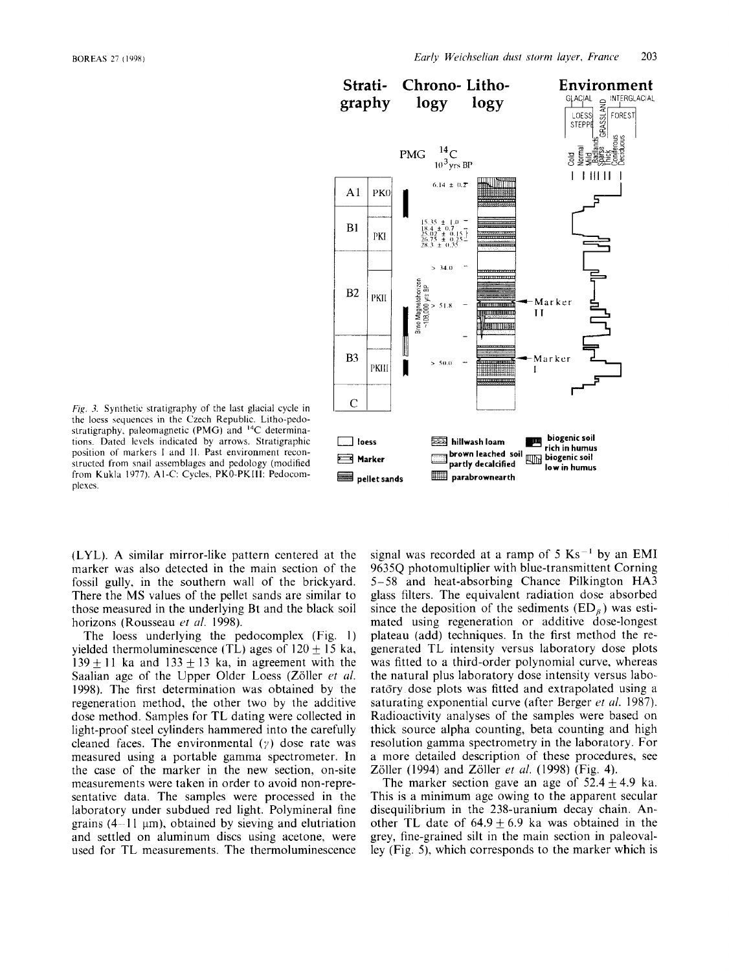

*Fig.* 3. Synthetic stratigraphy of the last glacial cycle in the loess sequences in the Czech Republic. Litho-pedostratigraphy, paleomagnetic (PMG) and **I4C** determinations. Dated levels indicated by arrows. Stratigraphic position of markers I and II. Past environment reconstructed from snail assemblages and pedology (modified from Kukla 1977). AI-C: Cycles, PKO-PKIII: Pedocomplexes.

(LYL). **A** similar mirror-like pattern centered at the marker was also detected in the main section of the fossil gully. in the southern wall of the brickyard. There the **MS** values of the pellet sands are similar to those measured in the underlying Bt and the black soil horizons (Rousseau et al. 1998).

The loess underlying the pedocomplex (Fig. **1)**  vielded thermoluminescence (TL) ages of  $120 + 15$  ka,  $139 + 11$  ka and  $133 + 13$  ka, in agreement with the Saalian age of the Upper Older Loess (Zöller et al. 1998). The first determination was obtained by the regeneration method, the other two by the additive dose method. Samples for TL dating were collected in light-proof steel cylinders hammered into the carefully cleaned faces. The environmental  $(y)$  dose rate was measured using a portable gamma spectrometer. In the case of the marker in the new section, on-site measurements were taken in order to avoid non-representative data. The samples were processed in the laboratory under subdued red light. Polymineral fine grains  $(4 - 11 \text{ }\mu\text{m})$ , obtained by sieving and elutriation and settled on aluminum discs using acetone, were used for TL measurements. The thermoluminescence signal was recorded at a ramp of  $5 \text{ Ks}^{-1}$  by an EMI 9635Q photomultiplier with blue-transmittent Corning 5- 58 and heat-absorbing Chance Pilkington HA3 glass filters. The equivalent radiation dose absorbed since the deposition of the sediments  $(ED_{\kappa})$  was estimated using regeneration or additive dose-longest plateau (add) techniques. In the first method the regenerated TL intensity versus laboratory dose plots was fitted to a third-order polynomial curve, whereas the natural plus laboratory dose intensity versus laboratory dose plots was fitted and extrapolated using a saturating exponential curve (after Berger *et al.* 1987). Radioactivity analyses of the samples were based on thick source alpha counting, beta counting and high resolution gamma spectrometry in the laboratory. For a more detailed description of these procedures, see Zöller (1994) and Zöller *et al.* (1998) (Fig. 4).

The marker section gave an age of  $52.4 + 4.9$  ka. This is a minimum age owing to the apparent secular disequilibrium in the 238-uranium decay chain. Another TL date of  $64.9 \pm 6.9$  ka was obtained in the grey, fine-grained silt in the main section in paleovalley (Fig. 5), which corresponds to the marker which is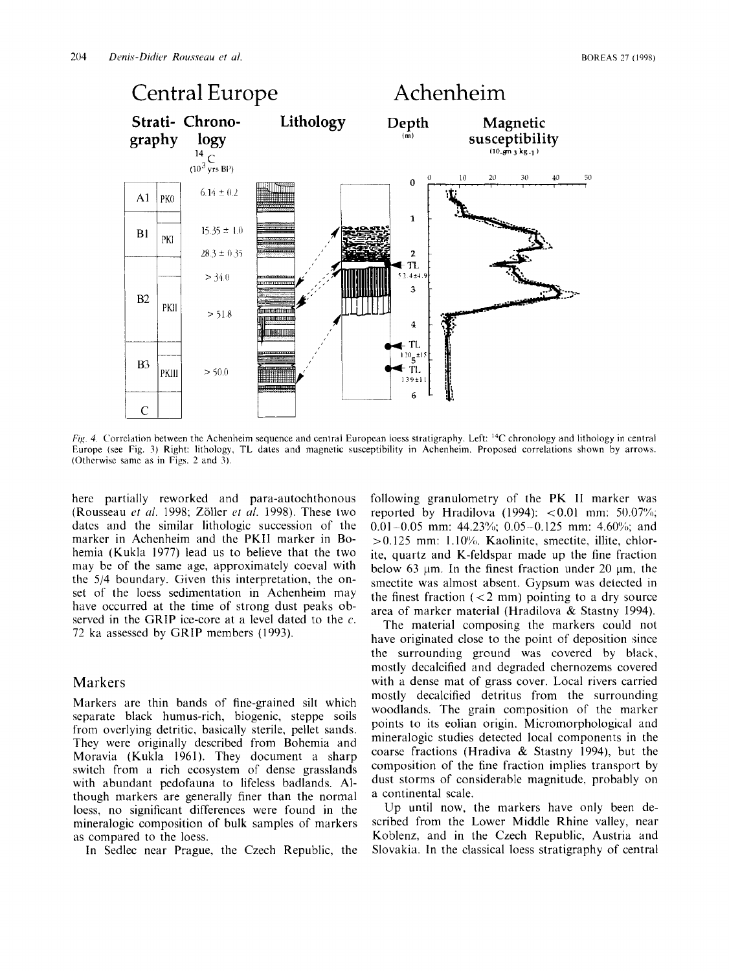

*Fig. 4.* Correlation between the Achenheiin sequence and central European loess stratigraphy. Left: **I4C** chronology and lithology **in** central Europe (see Fig. *3)* Right: lithology, TL dates and magnetic susceptibility in Achenheim. Proposed correlations shown by arrows. (Otherwise same as in Figs. 2 and *3).* 

here partially reworked and para-autochthonous (Rousseau *et ul.* 1998; Zoller *ct uf.* 1998). These two datcs and the similar lithologic succession of the marker in Achenheim and the PKII marker in Bohemia (Kukla 1977) lead us to believe that the two may be of the same age, approximately coeval with the 5/4 boundary. Given this interpretation, the onset of the loess sedimentation in Achenheim may have occurred at the time of strong dust peaks observed in the GRIP ice-core at a level dated to the  $c$ . 72 ka assessed by GRIP members (1993).

#### Markers

Markers are thin bands of fine-grained silt which separate black humus-rich, biogenic, steppe soils from overlying detritic, basically sterile, pellet sands. They were originally described from Bohemia and Moravia (Kukla 1961). They document a sharp switch from a rich ecosystem of dense grasslands with abundant pedofauna to lifeless badlands. Although markers are generally finer than the normal loess, no significant differences were found in the mineralogic composition of bulk samples of markers as compared to the loess.

In Sedlec near Prague, the Czech Republic, the

following granulometry of the PK I1 marker was reported by Hradilova (1994):  $< 0.01$  mm: 50.07%; 0.01 -0.05 mm: 44.23%); 0.05-0.125 mm: 4.60'%; and  $> 0.125$  mm: 1.10%. Kaolinite, smectite, illite, chlorite, quartz and K-feldspar made up the fine fraction below 63  $\mu$ m. In the finest fraction under 20  $\mu$ m, the smectite was almost absent. Gypsum was detected in the finest fraction  $\left($  < 2 mm) pointing to a dry source area of marker material (Hradilova & Stastny 1994).

The material composing the markers could not have originated close to the point of deposition since the surrounding ground was covered by black, mostly decalcified and degraded chernozems covered with a dense mat of grass cover. Local rivers carried mostly decalcified detritus from the surrounding woodlands. The grain composition of the marker points to its eolian origin. Micromorphological and mineralogic studies detected local components in the coarse fractions (Hradiva & Stastny 1994), but the composition of the fine fraction implies transport by dust storms of considerable magnitude, probably on a continental scale.

Up until now, the markers have only been described from the Lower Middle Rhine valley, near Koblenz, and in the Czech Republic, Austria and Slovakia. In the classical loess stratigraphy of central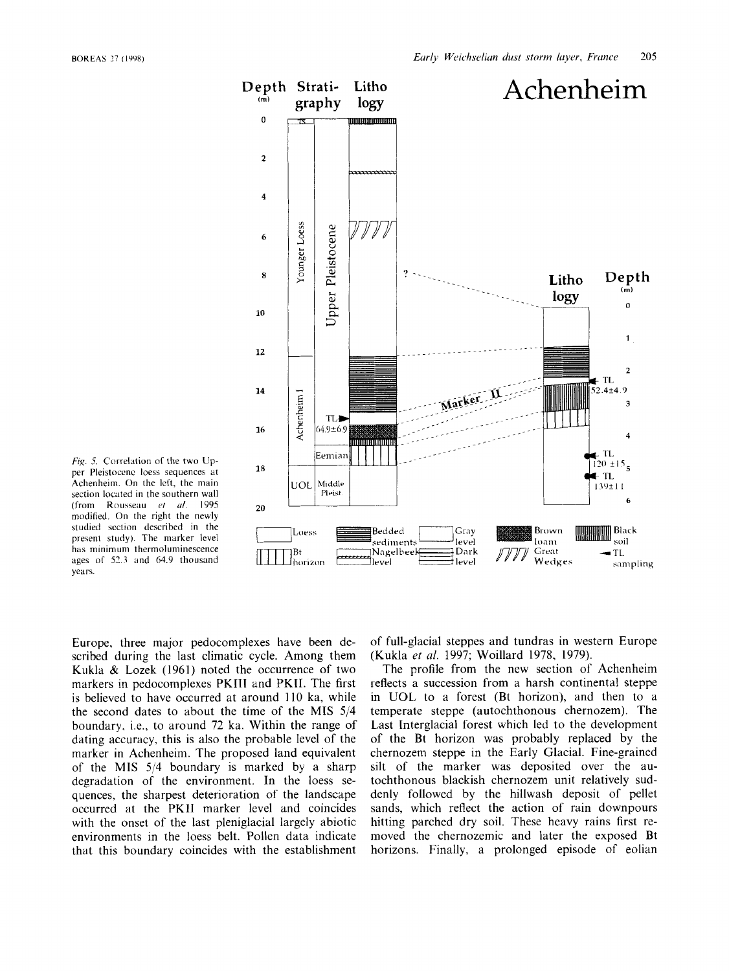

Fig. 5. Correlation of the two Upper Pleistocenc loess sequences at Achenheim. On the left, the main section located in the southern wall modified. On the right the newlv (from Rousseau *et ill.* 1995 *20*  studied scction described in the present study). The marker level has minimum thermoluminescence ages of 52.3 and 64.9 thousand years.

Europe, three major pedocomplexes have been described during the last climatic cycle. Among them Kukla & Lozek (1961) noted the occurrence of two markers in pedocomplexes PKIII and PKII. The first is believed to have occurred at around 110 ka, while the second dates to about the time of the **MIS** 5/4 boundary, i.e., to around 72 ka. Within the range of dating accuracy, this is also the probable level of the marker in Achenheim. The proposed land equivalent of the **MIS** 514 boundary is marked by a sharp degradation of the environment. In the loess sequences, the sharpest deterioration of the landscape occurred at the PKll marker level and coincides with the onset of the last pleniglacial largely abiotic environments in the loess belt. Pollen data indicate that this boundary coincides with the establishment

of full-glacial steppes and tundras in western Europe (Kukla *et al.* 1997; Woillard 1978, 1979).

The profile from the new section of Achenheim reflects a succession from a harsh continental steppe in UOL to a forest (Bt horizon), and then to a temperate steppe (autochthonous chernozem). The Last Interglacial forest which led to the development of the Bt horizon was probably replaced by the chernozem steppe in the Early Glacial. Fine-grained silt of the marker was deposited over the autochthonous blackish chernozem unit relatively suddenly followed by the hillwash deposit of pellet sands, which reflect the action of rain downpours hitting parched dry soil. These heavy rains first removed the chernozemic and later the exposed Bt horizons. Finally, a prolonged episode of eolian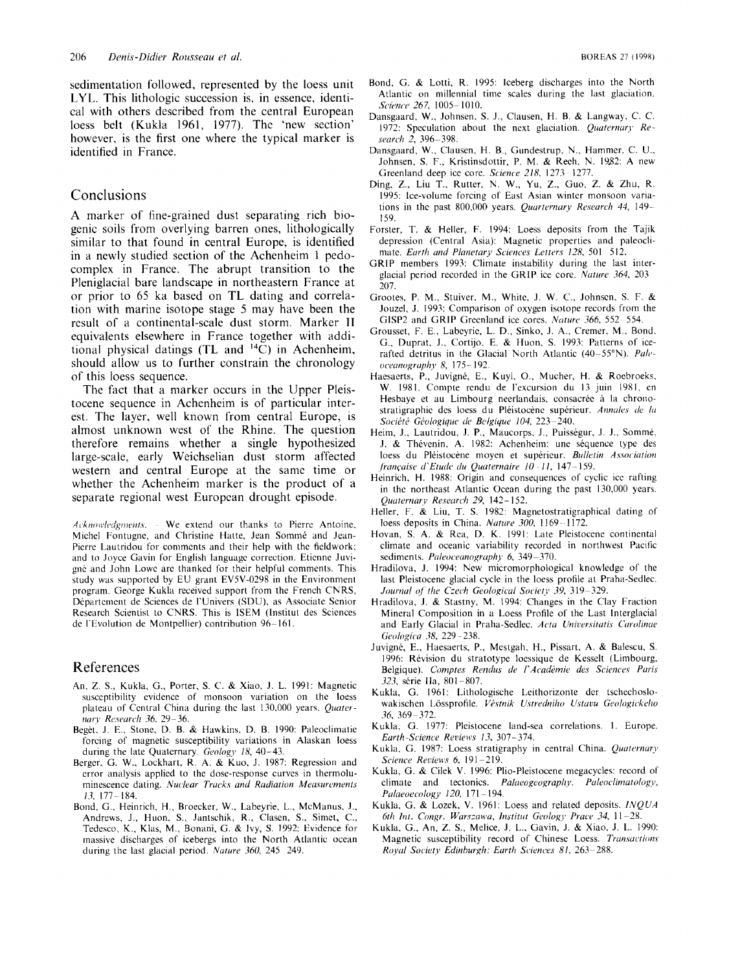sedimentation followed, represented by the loess unit LYL. This lithologic succession is, in essence, identical with others described from the central European loess belt (Kukla 1961, 1977). The 'new section' however, is the first one where the typical marker is identified in France.

### Conclusions

A marker of fine-grained dust separating rich biogenic soils from overlying barren ones, lithologically similar to that found in central Europe, is identified in a newly studied section of the Achenheim 1 pedocomplex in France. The abrupt transition to the Pleniglacial bare landscape in northeastern France at or prior to 65 ka based on TL dating and correlation with marine isotope stage *5* may have been the result of a continental-scale dust storm. Marker **I1**  equivalents elsewhere in France together with additional physical datings (TL and **I4C)** in Achenheim, should allow us to further constrain the chronology of this loess sequence.

The fact that a marker occurs in the Upper Pleistocene sequence in Achenheim is of particular interest. The layer, well known from central Europe, is almost unknown west of the Rhine. The question therefore remains whether a single hypothesized large-scale, early Weichselian dust storm affected western and central Europe at the same time or whether the Achenheim marker is the product of a separate regional west European drought episode.

*Acknowledgments.* • We extend our thanks to Pierre Antoine, Michel Fontugne, and Christine Hatte, Jean Sommé and Jean-Pierre Lautridou for comments and their help with the fieldwork; and to Joyce Gavin for English language correction. Etiennc Juvigné and John Lowe are thanked for their helpful comments. This study was supported by EU grant EV5V-0298 in the Environment program. George Kukla received support from the French CNRS, Département de Sciences de l'Univers (SDU), as Associate Senior Research Scientist to CNRS. This is ISEM (Institut des Sciences de I'Evolution de Montpellier) contribution 96-161.

#### References

- **An, Z.** S., Kukla, G., Porter, **S.** C. & Xiao, **J.** L. 1991: Magnetic susceptibility evidence of monsoon variation on the loess plateau of Central China during the last 130,000 years. *Quaternary Research 36, 29-36.*
- Beget. J. E., Stone, D. B. & Hawkins, D. B. 1990: Paleoclimatic forcing of magnetic susceptibility variations in Alaskan loess during the late Quaternary. Geology 18, 40-43.
- Berger, G. W., Lockhart, R. A. & Kuo, J. 1987: Regression and error analysis applied to the dose-response curves in thermolu $m$ inescence dating. *Nuclear Trucks and Radiation Measurements 13,* 177- 184.
- Bond, G., Heinrich, H., Broecker, W., Labeyrie, L., McManus, J.. Andrews, J., Huon, S., Jantschik, R., Clasen, S., Simet, C., Tedesco, K., Klas, M., Bonani, G. & Ivy, *S.* 1992: Evidence for massive discharges of icebergs into the North Atlantic ocean during the last glacial period. *Nuture* 360, 245 249.
- Bond, G. & Lotti, R. 1995: Iceberg discharges into the North Atlantic on millennia1 time scales during the last glaciation. *S(.iewo* 267, 1005- 1010.
- Dansgaard, W., Johnsen. S. J., Clausen, H. B. & Langway, C. *C.*  1972: Speculation about the next glaciation. *Quuternarj, Research 2, 396-398.*
- Dansgaard, W., Clausen, H. B., Gundestrup, N., Hammer. C. U., Johnsen, S. F., Kristinsdottir, P. M. & Reeh, N. 19.82: **A** new Greenland deep ice core. *Science* 218, 1273 - 1277.
- Ding, **Z.,** Liu T., Rutter, N. W., **Yu,** Z., Guo, Z. & Zhu, R. 1995: Ice-volume forcing of East Asian winter monsoon variations in the past 800,000 years. *Quarternary Research 44*, 149-159.
- Forster, T. & Heller, **F.** 1994: Loess deposits from the Tajik depression (Central Asia): Magnetic properties and paleoclimate. *Earth and Planetary Sciences Letters 128*, 501 512.
- GRIP members 1993: Climate instability during the last interglacial period recorded in the GRIP ice core. *Nuture* 364, 203 207.
- Grootes, **P.** M., Stuiver, M., White, J. W. C., Johnscn. *S.* F. & Jouzel, J. 1993: Comparison of oxygen isotope records from the GISP2 and GRIP Greenland ice cores. *Nature 366*, 552-554.
- Grousset, F. E., Labeyrie, L. D., Sinko, J. **A,,** Cremer. M., Bond. G., Duprat, J., Cortijo. E. & Huon, S. 1993: Patterns of icerafted detritus in the Glacial North Atlantic (40-55°N). *Paleot~eunojiruphy* 8, 175- 192.
- Haesaerts, P., Juvigné, E., Kuyl, O., Mucher, H. & Roebroeks, W. 1981. Compte rendu de l'excursion du 13 juin 1981, en Hesbaye et au Limbourg neerlandais, consacrée à la chronostratigraphie des loess du Pléistocène supérieur. Annales de la *So(,ihti Glologiqire cie Belgique* 104, 223-240.
- Heim, J., Lautridou, J. P., Maucorps, J., Puisségur, J. J., Sommé, J. & Thévenin, A. 1982: Achenheim: une séquence type des loess du Pléistocène moyen et supérieur. *Bulletin Association frcin(.uise d'Etutle ttu Quuternaire 10 11,* 147 ~ 159.
- Heinrich, H. 1988: Origin and consequences of cyclic ice rafting in thc northeast Atlantic Ocean during the past 130,000 years. *Quuternary Reseurcli 29,* 142- 152.
- Heller, F. & Liu, T. S. 1982: Magnetostratigraphical dating of loess deposits in China. *Nature 300*, 1169-1172.
- Hovan, S. **A.** & Rca, D. K. 1991: Late Pleistocene continental climate and oceanic variability recorded in northwest Pacific sediments. *Paleoceanography* 6, 349-370.
- Hradilova, **J.** 1994: New micromorphological knowledge of the last Pleistocene glacial cycle in the loess profile at Praha-Sedlec. *Journal of the Czech Geological Society 39, 319-329.*
- Hradilova, J. & Stastny, M. 1994: Changes in the Clay Fraction Mineral Composition in a Loess Profile of the Last Interglacial and Early Glacial in Praha-Sedlec. Acta Universitatis Carolinae *Geologic,a 38.* 229 ~ 238.
- Juvigné, E., Haesaerts, P., Mestgah, H., Pissart, A. & Balescu, S. 1996: Revision du stratotype loessique de Kesselt (Limbourg, Belgique). *Comptes Rendus de I' Acadimic dees Sciences Purir 323*, série IIa, 801-807.
- Kukla, G. 1961: Lithologische Leithorizonte der tschechoslowakischen Lössprofile. Véstnik Ustredniho Ustavu Geologickeho 36, 369 - 372.
- Kukla, G. 1977: Pleistocene land-sea correlations. 1. Europe. *Eurth-Science Reviews 13,* 307-374.
- Kukla, G. 1987: Loess stratigraphy in central China. *Quaternary Sriericc. Rrciews* 6, 191 -219.
- Kukla, G. & Cilek V. 1996: Plio-Pleistocene megacycles: record of climate and tectonics. *Palaeogeography*. *Paleoclimatology*, *Palaeoecology* 120, 171-194.
- Kukla, G. & Lozek, V. 1961: Loess and related deposits. *l.VQUA 6th Int. Congr. Warszawa, Institut Geology Prace 34, 11-28*
- Kukla, G., An, Z. S., Melice, **J.** L., Gavin, **J.** & Xiao, J. L. 1990: Magnetic susceptibility record of Chinese Loess. *Transactions Roytil* Society *Edinburgh: Earth Sciences 81,* 263-288.